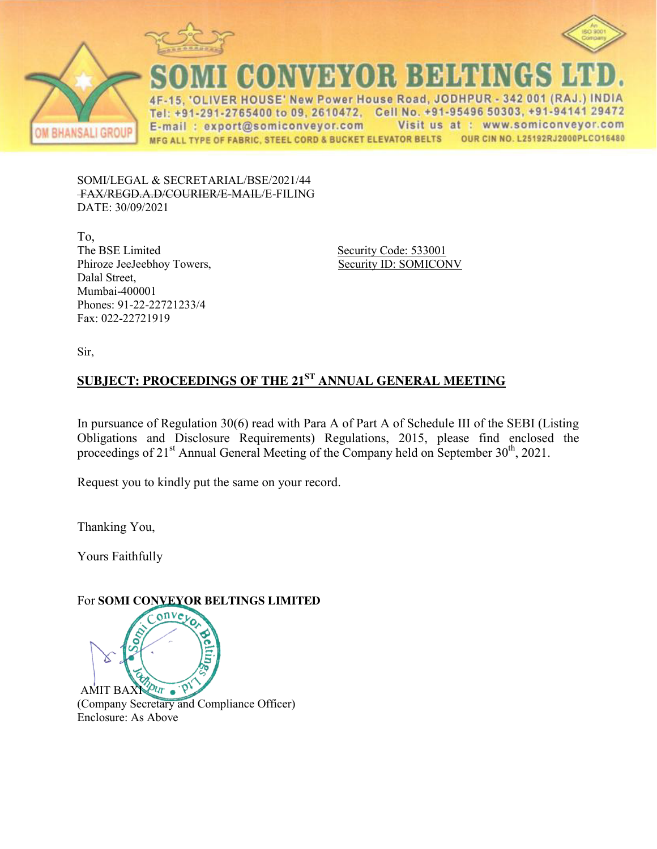





CONVEYOR BELTINGS

ER HOUSE' New Power House Road, JODHPUR - 342 001 (RAJ.) INDIA  $4F$ Tel: +91-291-2765400 to 09, 2610472, Cell No. +91-95496 50303, +91-94141 29472 Visit us at : www.somiconveyor.com E-mail: export@somiconveyor.com OUR CIN NO. L25192RJ2000PLCO16480 MFG ALL TYPE OF FABRIC, STEEL CORD & BUCKET ELEVATOR BELTS

SOMI/LEGAL & SECRETARIAL/BSE/2021/44 FAX/REGD.A.D/COURIER/E-MAIL/E-FILING DATE: 30/09/2021

To, The BSE Limited Security Code: 533001 Phiroze JeeJeebhoy Towers, Security ID: SOMICONV Dalal Street, Mumbai-400001 Phones: 91-22-22721233/4 Fax: 022-22721919

Sir,

# **SUBJECT: PROCEEDINGS OF THE 21ST ANNUAL GENERAL MEETING**

In pursuance of Regulation 30(6) read with Para A of Part A of Schedule III of the SEBI (Listing Obligations and Disclosure Requirements) Regulations, 2015, please find enclosed the proceedings of  $21<sup>st</sup>$  Annual General Meeting of the Company held on September  $30<sup>th</sup>$ ,  $2021$ .

Request you to kindly put the same on your record.

Thanking You,

Yours Faithfully

## For **SOMI CONVEYOR BELTINGS LIMITED**

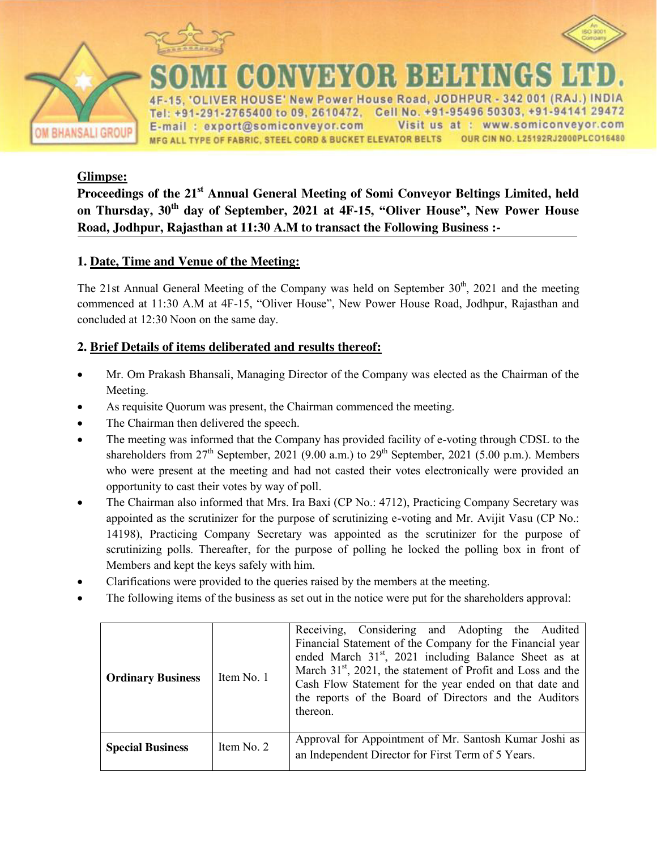



**HANSALI GROUP** 

E' New Power House Road, JODHPUR - 342 001 (RAJ.) INDIA Tel: +91-291-2765400 to 09, 2610472, Cell No. +91-95496 50303, +91-94141 29472 E-mail: export@somiconveyor.com Visit us at : www.somiconveyor.com OUR CIN NO. L25192RJ2000PLCO16480 MFG ALL TYPE OF FABRIC, STEEL CORD & BUCKET ELEVATOR BELTS

VEYOR BEHENG

#### **Glimpse:**

**Proceedings of the 21st Annual General Meeting of Somi Conveyor Beltings Limited, held on Thursday, 30th day of September, 2021 at 4F-15, "Oliver House", New Power House Road, Jodhpur, Rajasthan at 11:30 A.M to transact the Following Business :-** 

### **1. Date, Time and Venue of the Meeting:**

The 21st Annual General Meeting of the Company was held on September  $30<sup>th</sup>$ , 2021 and the meeting commenced at 11:30 A.M at 4F-15, "Oliver House", New Power House Road, Jodhpur, Rajasthan and concluded at 12:30 Noon on the same day.

#### **2. Brief Details of items deliberated and results thereof:**

- Mr. Om Prakash Bhansali, Managing Director of the Company was elected as the Chairman of the Meeting.
- As requisite Quorum was present, the Chairman commenced the meeting.
- The Chairman then delivered the speech.
- The meeting was informed that the Company has provided facility of e-voting through CDSL to the shareholders from  $27<sup>th</sup>$  September, 2021 (9.00 a.m.) to  $29<sup>th</sup>$  September, 2021 (5.00 p.m.). Members who were present at the meeting and had not casted their votes electronically were provided an opportunity to cast their votes by way of poll.
- The Chairman also informed that Mrs. Ira Baxi (CP No.: 4712), Practicing Company Secretary was appointed as the scrutinizer for the purpose of scrutinizing e-voting and Mr. Avijit Vasu (CP No.: 14198), Practicing Company Secretary was appointed as the scrutinizer for the purpose of scrutinizing polls. Thereafter, for the purpose of polling he locked the polling box in front of Members and kept the keys safely with him.
- Clarifications were provided to the queries raised by the members at the meeting.
- The following items of the business as set out in the notice were put for the shareholders approval:

| <b>Ordinary Business</b> | Item No. 1 | Receiving, Considering and Adopting the Audited<br>Financial Statement of the Company for the Financial year<br>ended March 31 <sup>st</sup> , 2021 including Balance Sheet as at<br>March 31 <sup>st</sup> , 2021, the statement of Profit and Loss and the<br>Cash Flow Statement for the year ended on that date and<br>the reports of the Board of Directors and the Auditors<br>thereon. |
|--------------------------|------------|-----------------------------------------------------------------------------------------------------------------------------------------------------------------------------------------------------------------------------------------------------------------------------------------------------------------------------------------------------------------------------------------------|
| <b>Special Business</b>  | Item No. 2 | Approval for Appointment of Mr. Santosh Kumar Joshi as<br>an Independent Director for First Term of 5 Years.                                                                                                                                                                                                                                                                                  |